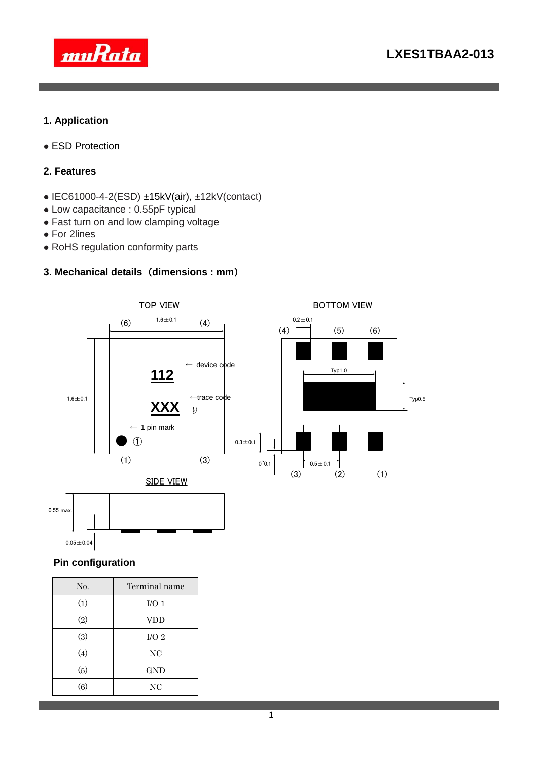

## **1. Application**

ESD Protection

### **2. Features**

- $\bullet$  IEC61000-4-2(ESD)  $\pm$ 15kV(air),  $\pm$ 12kV(contact)
- Low capacitance : 0.55pF typical
- Fast turn on and low clamping voltage
- For 2lines
- RoHS regulation conformity parts

## **3. Mechanical details** (**dimensions : mm**)



### **Pin configuration**

| No. | Terminal name    |  |  |  |
|-----|------------------|--|--|--|
| (1) | I/O <sub>1</sub> |  |  |  |
| (2) | <b>VDD</b>       |  |  |  |
| (3) | I/O <sub>2</sub> |  |  |  |
| (4) | NC               |  |  |  |
| (5) | GND              |  |  |  |
| (6) | NC               |  |  |  |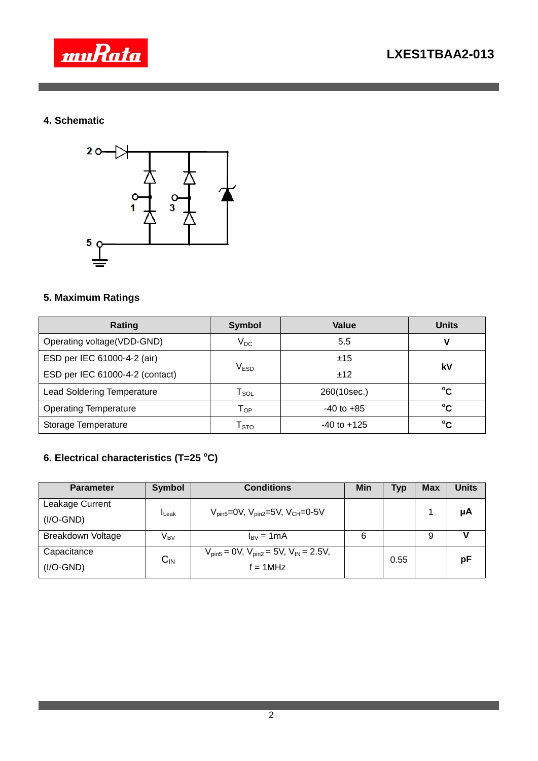

## **4. Schematic**



## **5. Maximum Ratings**

| Rating                            | <b>Symbol</b>                                | Value           |    |  |
|-----------------------------------|----------------------------------------------|-----------------|----|--|
| Operating voltage(VDD-GND)        | $\rm V_{DC}$                                 | 5.5             | V  |  |
| ESD per IEC 61000-4-2 (air)       |                                              | ±15             | kV |  |
| ESD per IEC 61000-4-2 (contact)   | $\mathsf{V}_{\mathsf{ESD}}$                  | ±12             |    |  |
| <b>Lead Soldering Temperature</b> | 260(10sec.)<br>$\mathsf{T}_{\mathsf{SOL}}$   |                 | °C |  |
| <b>Operating Temperature</b>      | $-40$ to $+85$<br>$\mathsf{T}_{\mathsf{OP}}$ |                 | °c |  |
| Storage Temperature               | $\mathsf{T}_{\text{STO}}$                    | $-40$ to $+125$ | °C |  |

# **6. Electrical characteristics (T=25 <sup>o</sup>C)**

| <b>Parameter</b>   | <b>Symbol</b>              | <b>Conditions</b>                                     | Min | <b>Typ</b> | <b>Max</b> | <b>Units</b> |
|--------------------|----------------------------|-------------------------------------------------------|-----|------------|------------|--------------|
| Leakage Current    | <b>I</b> Leak              | $V_{pin5} = 0V$ , $V_{pin2} = 5V$ , $V_{CH} = 0.5V$   |     |            |            | μA           |
| $(I/O\text{-}GND)$ |                            |                                                       |     |            |            |              |
| Breakdown Voltage  | V <sub>BV</sub>            | $I_{\text{BV}} = 1 \text{mA}$                         | 6   |            | 9          |              |
| Capacitance        | $\mathsf{C}_{\mathsf{IN}}$ | $V_{pin5} = 0V$ , $V_{pin2} = 5V$ , $V_{IN} = 2.5V$ , |     | 0.55       |            | pF           |
| $(I/O\text{-}GND)$ |                            | $f = 1$ MHz                                           |     |            |            |              |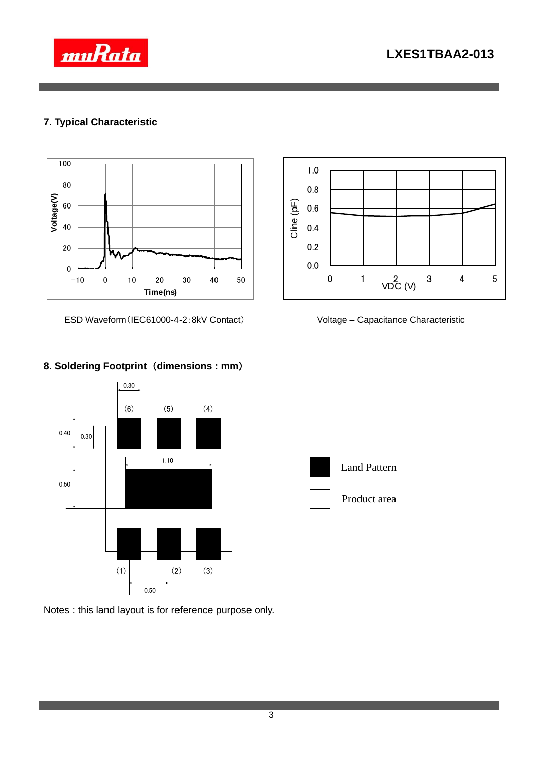



## **7. Typical Characteristic**



ESD Waveform(IEC61000-4-2:8kV Contact) Voltage – Capacitance Characteristic











Land Pattern



Product area